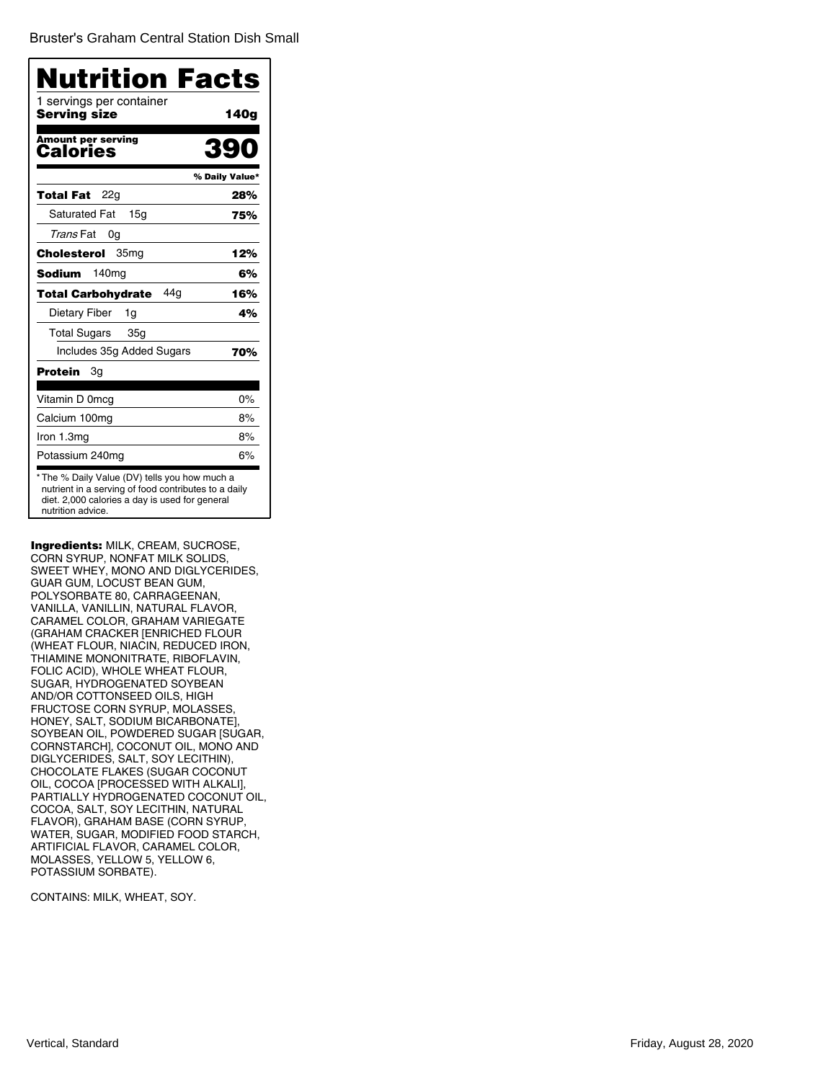Bruster's Graham Central Station Dish Small

| <b>Nutrition Facts</b>                   |                |
|------------------------------------------|----------------|
| 1 servings per container<br>Serving size | 140g           |
| Amount per serving<br>Calories           | 390            |
|                                          | % Daily Value* |
| 22g<br>Total Fat                         | 28%            |
| <b>Saturated Fat</b><br>15 <sub>q</sub>  | 75%            |
| Trans Fat<br>0g                          |                |
| 35mg<br>Cholesterol                      | 12%            |
| Sodium<br>140 <sub>mg</sub>              | 6%             |
| 44 <sub>a</sub><br>Total Carbohydrate    | 16%            |
| Dietary Fiber<br>1g                      | 4%             |
| <b>Total Sugars</b><br>35g               |                |
| Includes 35g Added Sugars                | 70%            |
| Protein<br>Зg                            |                |
| Vitamin D 0mcg                           | $0\%$          |
| Calcium 100mg                            | 8%             |
| Iron 1.3mg                               | 8%             |
| Potassium 240mg                          | 6%             |

Ingredients: MILK, CREAM, SUCROSE, CORN SYRUP, NONFAT MILK SOLIDS, SWEET WHEY, MONO AND DIGLYCERIDES, GUAR GUM, LOCUST BEAN GUM, POLYSORBATE 80, CARRAGEENAN, VANILLA, VANILLIN, NATURAL FLAVOR, CARAMEL COLOR, GRAHAM VARIEGATE (GRAHAM CRACKER [ENRICHED FLOUR (WHEAT FLOUR, NIACIN, REDUCED IRON, THIAMINE MONONITRATE, RIBOFLAVIN, FOLIC ACID), WHOLE WHEAT FLOUR, SUGAR, HYDROGENATED SOYBEAN AND/OR COTTONSEED OILS, HIGH FRUCTOSE CORN SYRUP, MOLASSES, HONEY, SALT, SODIUM BICARBONATE], SOYBEAN OIL, POWDERED SUGAR [SUGAR, CORNSTARCH], COCONUT OIL, MONO AND DIGLYCERIDES, SALT, SOY LECITHIN), CHOCOLATE FLAKES (SUGAR COCONUT OIL, COCOA [PROCESSED WITH ALKALI], PARTIALLY HYDROGENATED COCONUT OIL, COCOA, SALT, SOY LECITHIN, NATURAL FLAVOR), GRAHAM BASE (CORN SYRUP, WATER, SUGAR, MODIFIED FOOD STARCH, ARTIFICIAL FLAVOR, CARAMEL COLOR, MOLASSES, YELLOW 5, YELLOW 6, POTASSIUM SORBATE).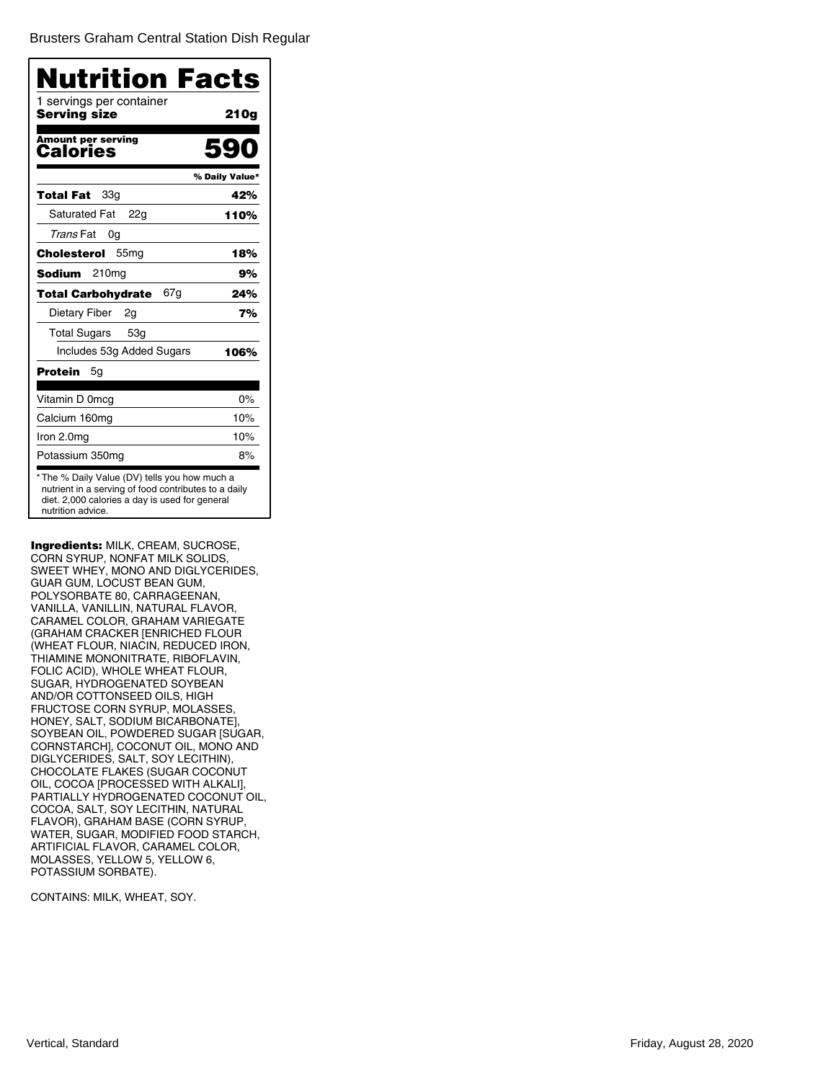Brusters Graham Central Station Dish Regular

| <b>Nutrition Facts</b>                   |                |
|------------------------------------------|----------------|
| 1 servings per container<br>Serving size | 210g           |
| <b>Amount per serving</b><br>Calories    |                |
|                                          | % Daily Value* |
| 33g<br>Total Fat                         | 42%            |
| <b>Saturated Fat</b><br>22g              | 110%           |
| Trans Fat<br>0g                          |                |
| Cholesterol<br>55 <sub>mg</sub>          | 18%            |
| Sodium<br>210 <sub>mg</sub>              | 9%             |
| 67g<br><b>Total Carbohydrate</b>         | 24%            |
| Dietary Fiber<br>2g                      | 7%             |
| <b>Total Sugars</b><br>53g               |                |
| Includes 53g Added Sugars                | 106%           |
| Protein<br>5g                            |                |
| Vitamin D 0mcg                           | 0%             |
| Calcium 160mg                            | 10%            |
| Iron 2.0mg                               | 10%            |
| Potassium 350mg                          | 8%             |

Ingredients: MILK, CREAM, SUCROSE, CORN SYRUP, NONFAT MILK SOLIDS, SWEET WHEY, MONO AND DIGLYCERIDES, GUAR GUM, LOCUST BEAN GUM, POLYSORBATE 80, CARRAGEENAN, VANILLA, VANILLIN, NATURAL FLAVOR, CARAMEL COLOR, GRAHAM VARIEGATE (GRAHAM CRACKER [ENRICHED FLOUR (WHEAT FLOUR, NIACIN, REDUCED IRON, THIAMINE MONONITRATE, RIBOFLAVIN, FOLIC ACID), WHOLE WHEAT FLOUR, SUGAR, HYDROGENATED SOYBEAN AND/OR COTTONSEED OILS, HIGH FRUCTOSE CORN SYRUP, MOLASSES, HONEY, SALT, SODIUM BICARBONATE], SOYBEAN OIL, POWDERED SUGAR [SUGAR, CORNSTARCH], COCONUT OIL, MONO AND DIGLYCERIDES, SALT, SOY LECITHIN), CHOCOLATE FLAKES (SUGAR COCONUT OIL, COCOA [PROCESSED WITH ALKALI], PARTIALLY HYDROGENATED COCONUT OIL, COCOA, SALT, SOY LECITHIN, NATURAL FLAVOR), GRAHAM BASE (CORN SYRUP, WATER, SUGAR, MODIFIED FOOD STARCH, ARTIFICIAL FLAVOR, CARAMEL COLOR, MOLASSES, YELLOW 5, YELLOW 6, POTASSIUM SORBATE).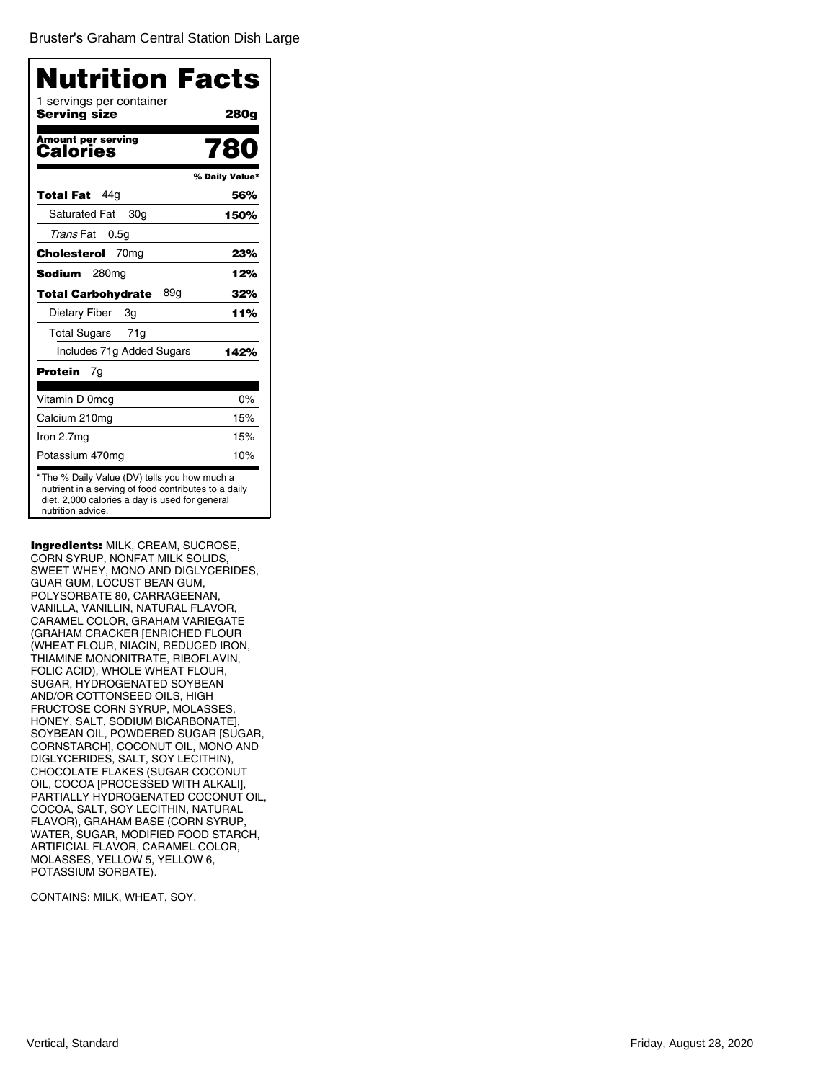Bruster's Graham Central Station Dish Large

| Nutrition Facts                          |                |
|------------------------------------------|----------------|
| 1 servings per container<br>Serving size | 280g           |
| <b>Amount per serving</b><br>Calories    | 780            |
|                                          | % Daily Value* |
| 44 q<br>Total Fat                        | 56%            |
| <b>Saturated Fat</b><br>30g              | 150%           |
| Trans Fat<br>0.5g                        |                |
| 70 <sub>mq</sub><br>Cholesterol          | 23%            |
| Sodium<br>280mg                          | 12%            |
| 89g<br><b>Total Carbohydrate</b>         | 32%            |
| Dietary Fiber<br>3g                      | 11%            |
| <b>Total Sugars</b><br>71g               |                |
| Includes 71g Added Sugars                | 142%           |
| Protein<br>7g                            |                |
| Vitamin D 0mcg                           | 0%             |
| Calcium 210mg                            | 15%            |
| Iron 2.7mg                               | 15%            |
| Potassium 470mg                          | 10%            |

Ingredients: MILK, CREAM, SUCROSE, CORN SYRUP, NONFAT MILK SOLIDS, SWEET WHEY, MONO AND DIGLYCERIDES, GUAR GUM, LOCUST BEAN GUM, POLYSORBATE 80, CARRAGEENAN, VANILLA, VANILLIN, NATURAL FLAVOR, CARAMEL COLOR, GRAHAM VARIEGATE (GRAHAM CRACKER [ENRICHED FLOUR (WHEAT FLOUR, NIACIN, REDUCED IRON, THIAMINE MONONITRATE, RIBOFLAVIN, FOLIC ACID), WHOLE WHEAT FLOUR, SUGAR, HYDROGENATED SOYBEAN AND/OR COTTONSEED OILS, HIGH FRUCTOSE CORN SYRUP, MOLASSES, HONEY, SALT, SODIUM BICARBONATE], SOYBEAN OIL, POWDERED SUGAR [SUGAR, CORNSTARCH], COCONUT OIL, MONO AND DIGLYCERIDES, SALT, SOY LECITHIN), CHOCOLATE FLAKES (SUGAR COCONUT OIL, COCOA [PROCESSED WITH ALKALI], PARTIALLY HYDROGENATED COCONUT OIL, COCOA, SALT, SOY LECITHIN, NATURAL FLAVOR), GRAHAM BASE (CORN SYRUP, WATER, SUGAR, MODIFIED FOOD STARCH, ARTIFICIAL FLAVOR, CARAMEL COLOR, MOLASSES, YELLOW 5, YELLOW 6, POTASSIUM SORBATE).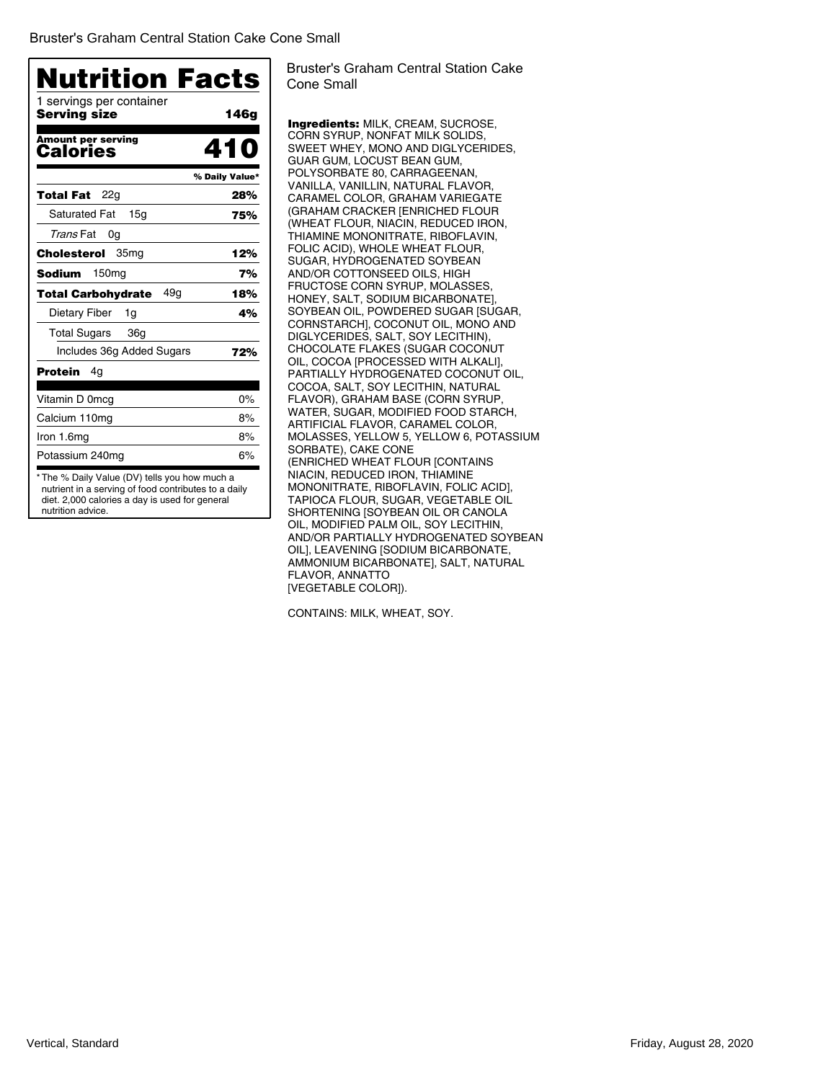| 1 servings per container                |                |
|-----------------------------------------|----------------|
| Serving size                            | 146g           |
| <b>Amount per serving</b><br>Calories   | 410            |
|                                         | % Daily Value* |
| 22g<br>Total Fat                        | 28%            |
| <b>Saturated Fat</b><br>15 <sub>q</sub> | 75%            |
| Trans Fat<br>0g                         |                |
| Cholesterol<br>35 <sub>mg</sub>         | 12%            |
| 150 <sub>mg</sub><br>Sodium             | 7%             |
| 49g<br>Total Carbohydrate               | 18%            |
| Dietary Fiber<br>1g                     | 4%             |
| Total Sugars<br>36a                     |                |
| Includes 36g Added Sugars               | 72%            |
| Protein<br>4g                           |                |
| Vitamin D 0mcg                          | 0%             |
| Calcium 110mg                           | 8%             |
| Iron 1.6mg                              | 8%             |
| Potassium 240mg                         | 6%             |

Bruster's Graham Central Station Cake Cone Small

Ingredients: MILK, CREAM, SUCROSE, CORN SYRUP, NONFAT MILK SOLIDS, SWEET WHEY, MONO AND DIGLYCERIDES, GUAR GUM, LOCUST BEAN GUM, POLYSORBATE 80, CARRAGEENAN, VANILLA, VANILLIN, NATURAL FLAVOR, CARAMEL COLOR, GRAHAM VARIEGATE (GRAHAM CRACKER [ENRICHED FLOUR (WHEAT FLOUR, NIACIN, REDUCED IRON, THIAMINE MONONITRATE, RIBOFLAVIN, FOLIC ACID), WHOLE WHEAT FLOUR, SUGAR, HYDROGENATED SOYBEAN AND/OR COTTONSEED OILS, HIGH FRUCTOSE CORN SYRUP, MOLASSES, HONEY, SALT, SODIUM BICARBONATE], SOYBEAN OIL, POWDERED SUGAR [SUGAR, CORNSTARCH], COCONUT OIL, MONO AND DIGLYCERIDES, SALT, SOY LECITHIN), CHOCOLATE FLAKES (SUGAR COCONUT OIL, COCOA [PROCESSED WITH ALKALI], PARTIALLY HYDROGENATED COCONUT OIL, COCOA, SALT, SOY LECITHIN, NATURAL FLAVOR), GRAHAM BASE (CORN SYRUP, WATER, SUGAR, MODIFIED FOOD STARCH, ARTIFICIAL FLAVOR, CARAMEL COLOR, MOLASSES, YELLOW 5, YELLOW 6, POTASSIUM SORBATE), CAKE CONE (ENRICHED WHEAT FLOUR [CONTAINS NIACIN, REDUCED IRON, THIAMINE MONONITRATE, RIBOFLAVIN, FOLIC ACID], TAPIOCA FLOUR, SUGAR, VEGETABLE OIL SHORTENING [SOYBEAN OIL OR CANOLA OIL, MODIFIED PALM OIL, SOY LECITHIN, AND/OR PARTIALLY HYDROGENATED SOYBEAN OIL], LEAVENING [SODIUM BICARBONATE, AMMONIUM BICARBONATE], SALT, NATURAL FLAVOR, ANNATTO [VEGETABLE COLOR]).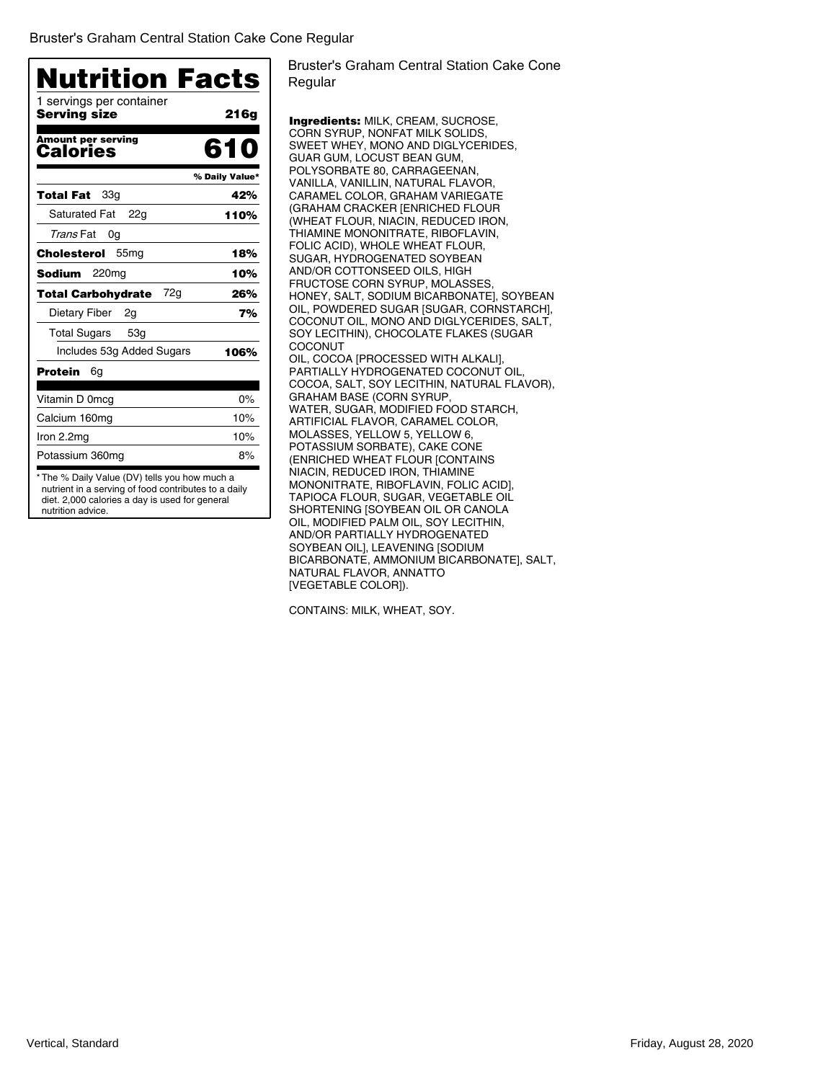| 1 servings per container<br>Serving size     | 216g           |
|----------------------------------------------|----------------|
|                                              |                |
| <b>Amount per serving</b><br><b>Calories</b> | 610            |
|                                              | % Daily Value* |
| 33 <sub>q</sub><br>Total Fat                 | 42%            |
| <b>Saturated Fat</b><br>22a                  | 110%           |
| Trans Fat<br>0g                              |                |
| 55 <sub>mg</sub><br>Cholesterol              | 18%            |
| Sodium<br>220mg                              | 10%            |
| 72g<br><b>Total Carbohydrate</b>             | 26%            |
| Dietary Fiber<br>2g                          | 7%             |
| <b>Total Sugars</b><br>53 <sub>q</sub>       |                |
| Includes 53g Added Sugars                    | 106%           |
| Protein<br>6g                                |                |
| Vitamin D 0mcg                               | $0\%$          |
| Calcium 160mg                                | 10%            |
| Iron 2.2mg                                   | 10%            |
| Potassium 360mg                              | 8%             |

diet. 2,000 calories a day is used for general nutrition advice.

Bruster's Graham Central Station Cake Cone Regular

Ingredients: MILK, CREAM, SUCROSE, CORN SYRUP, NONFAT MILK SOLIDS, SWEET WHEY, MONO AND DIGLYCERIDES, GUAR GUM, LOCUST BEAN GUM, POLYSORBATE 80, CARRAGEENAN, VANILLA, VANILLIN, NATURAL FLAVOR, CARAMEL COLOR, GRAHAM VARIEGATE (GRAHAM CRACKER [ENRICHED FLOUR (WHEAT FLOUR, NIACIN, REDUCED IRON, THIAMINE MONONITRATE, RIBOFLAVIN, FOLIC ACID), WHOLE WHEAT FLOUR, SUGAR, HYDROGENATED SOYBEAN AND/OR COTTONSEED OILS, HIGH FRUCTOSE CORN SYRUP, MOLASSES, HONEY, SALT, SODIUM BICARBONATE], SOYBEAN OIL, POWDERED SUGAR [SUGAR, CORNSTARCH], COCONUT OIL, MONO AND DIGLYCERIDES, SALT, SOY LECITHIN), CHOCOLATE FLAKES (SUGAR **COCONUT** OIL, COCOA [PROCESSED WITH ALKALI], PARTIALLY HYDROGENATED COCONUT OIL, COCOA, SALT, SOY LECITHIN, NATURAL FLAVOR), GRAHAM BASE (CORN SYRUP, WATER, SUGAR, MODIFIED FOOD STARCH, ARTIFICIAL FLAVOR, CARAMEL COLOR, MOLASSES, YELLOW 5, YELLOW 6, POTASSIUM SORBATE), CAKE CONE (ENRICHED WHEAT FLOUR [CONTAINS NIACIN, REDUCED IRON, THIAMINE MONONITRATE, RIBOFLAVIN, FOLIC ACID], TAPIOCA FLOUR, SUGAR, VEGETABLE OIL SHORTENING [SOYBEAN OIL OR CANOLA OIL, MODIFIED PALM OIL, SOY LECITHIN, AND/OR PARTIALLY HYDROGENATED SOYBEAN OIL], LEAVENING [SODIUM BICARBONATE, AMMONIUM BICARBONATE], SALT, NATURAL FLAVOR, ANNATTO [VEGETABLE COLOR]).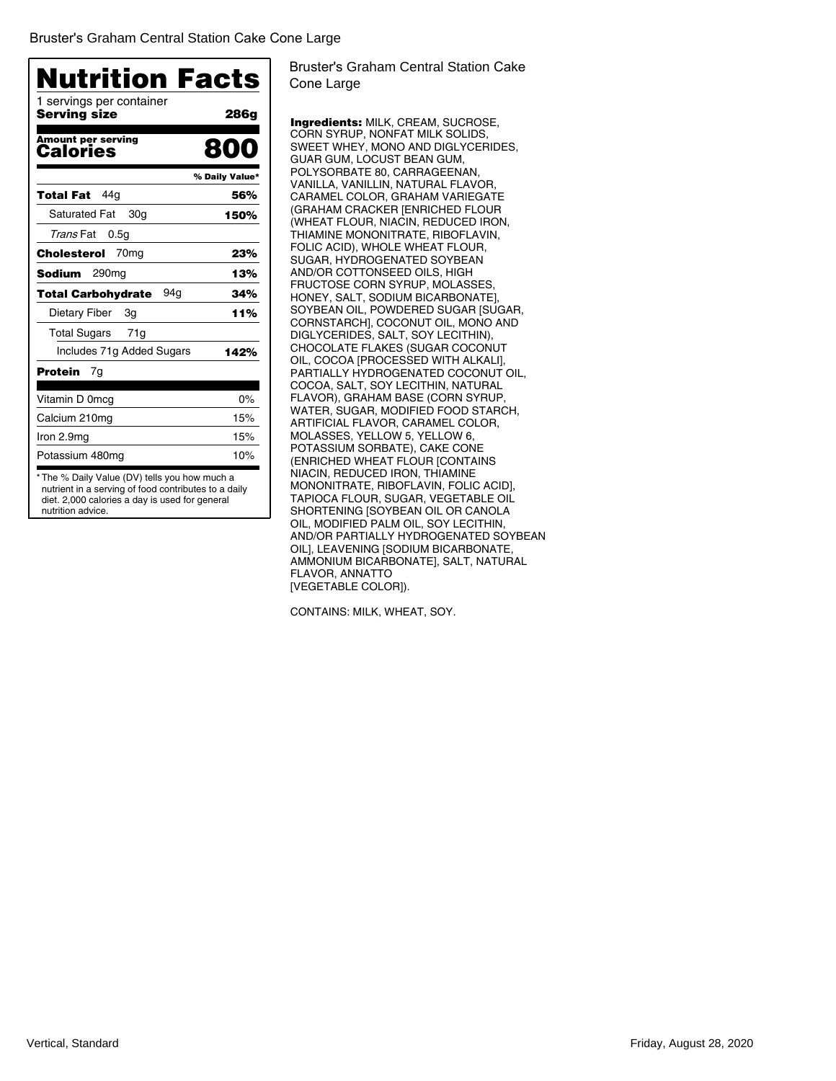| 1 servings per container                     |                |
|----------------------------------------------|----------------|
| Servina size                                 | 286g           |
| <b>Amount per serving</b><br><b>Calories</b> | 800            |
|                                              | % Daily Value* |
| 44a<br>Total Fat                             | 56%            |
| <b>Saturated Fat</b><br>30g                  | 150%           |
| Trans Fat<br>0.5g                            |                |
| 70 <sub>mg</sub><br>Cholesterol              | 23%            |
| 290 <sub>mg</sub><br>Sodium                  | 13%            |
| 94g<br>Total Carbohydrate                    | 34%            |
| Dietary Fiber<br>3g                          | 11%            |
| <b>Total Sugars</b><br>71g                   |                |
| Includes 71g Added Sugars                    | 142%           |
| Protein<br>7g                                |                |
| Vitamin D 0mcg                               | 0%             |
| Calcium 210mg                                | 15%            |
| Iron 2.9mg                                   | 15%            |
| Potassium 480mg                              | 10%            |

Bruster's Graham Central Station Cake Cone Large

Ingredients: MILK, CREAM, SUCROSE, CORN SYRUP, NONFAT MILK SOLIDS, SWEET WHEY, MONO AND DIGLYCERIDES, GUAR GUM, LOCUST BEAN GUM, POLYSORBATE 80, CARRAGEENAN, VANILLA, VANILLIN, NATURAL FLAVOR, CARAMEL COLOR, GRAHAM VARIEGATE (GRAHAM CRACKER [ENRICHED FLOUR (WHEAT FLOUR, NIACIN, REDUCED IRON, THIAMINE MONONITRATE, RIBOFLAVIN, FOLIC ACID), WHOLE WHEAT FLOUR, SUGAR, HYDROGENATED SOYBEAN AND/OR COTTONSEED OILS, HIGH FRUCTOSE CORN SYRUP, MOLASSES, HONEY, SALT, SODIUM BICARBONATE], SOYBEAN OIL, POWDERED SUGAR [SUGAR, CORNSTARCH], COCONUT OIL, MONO AND DIGLYCERIDES, SALT, SOY LECITHIN), CHOCOLATE FLAKES (SUGAR COCONUT OIL, COCOA [PROCESSED WITH ALKALI], PARTIALLY HYDROGENATED COCONUT OIL, COCOA, SALT, SOY LECITHIN, NATURAL FLAVOR), GRAHAM BASE (CORN SYRUP, WATER, SUGAR, MODIFIED FOOD STARCH, ARTIFICIAL FLAVOR, CARAMEL COLOR, MOLASSES, YELLOW 5, YELLOW 6, POTASSIUM SORBATE), CAKE CONE (ENRICHED WHEAT FLOUR [CONTAINS NIACIN, REDUCED IRON, THIAMINE MONONITRATE, RIBOFLAVIN, FOLIC ACID], TAPIOCA FLOUR, SUGAR, VEGETABLE OIL SHORTENING [SOYBEAN OIL OR CANOLA OIL, MODIFIED PALM OIL, SOY LECITHIN, AND/OR PARTIALLY HYDROGENATED SOYBEAN OIL], LEAVENING [SODIUM BICARBONATE, AMMONIUM BICARBONATE], SALT, NATURAL FLAVOR, ANNATTO [VEGETABLE COLOR]).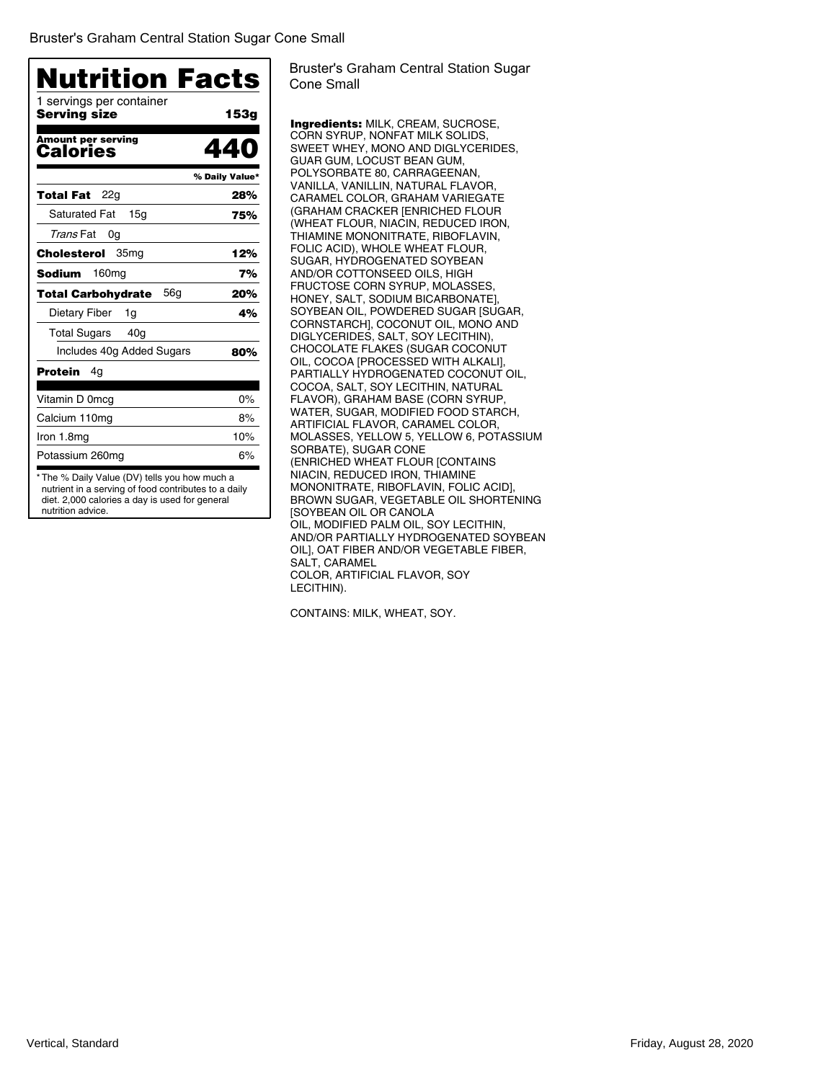| 1 servings per container                     |                |
|----------------------------------------------|----------------|
| Serving size                                 | 153g           |
| <b>Amount per serving</b><br>Calories        | 440            |
|                                              | % Daily Value* |
| 22g<br>Total Fat                             | 28%            |
| <b>Saturated Fat</b><br>15 <sub>q</sub>      | 75%            |
| Trans Fat<br>0g                              |                |
| Cholesterol<br>35mg                          | 12%            |
| 160 <sub>mg</sub><br>Sodium                  | 7%             |
| 56 <sub>q</sub><br><b>Total Carbohydrate</b> | 20%            |
| Dietary Fiber<br>1g                          | 4%             |
| <b>Total Sugars</b><br>40 <sub>g</sub>       |                |
| Includes 40g Added Sugars                    | 80%            |
| Protein<br>4g                                |                |
| Vitamin D 0mcg                               | $0\%$          |
| Calcium 110mg                                | 8%             |
| Iron 1.8mg                                   | 10%            |
| Potassium 260mg                              | 6%             |

Bruster's Graham Central Station Sugar Cone Small

Ingredients: MILK, CREAM, SUCROSE, CORN SYRUP, NONFAT MILK SOLIDS, SWEET WHEY, MONO AND DIGLYCERIDES, GUAR GUM, LOCUST BEAN GUM, POLYSORBATE 80, CARRAGEENAN, VANILLA, VANILLIN, NATURAL FLAVOR, CARAMEL COLOR, GRAHAM VARIEGATE (GRAHAM CRACKER [ENRICHED FLOUR (WHEAT FLOUR, NIACIN, REDUCED IRON, THIAMINE MONONITRATE, RIBOFLAVIN, FOLIC ACID), WHOLE WHEAT FLOUR, SUGAR, HYDROGENATED SOYBEAN AND/OR COTTONSEED OILS, HIGH FRUCTOSE CORN SYRUP, MOLASSES, HONEY, SALT, SODIUM BICARBONATE], SOYBEAN OIL, POWDERED SUGAR [SUGAR, CORNSTARCH], COCONUT OIL, MONO AND DIGLYCERIDES, SALT, SOY LECITHIN), CHOCOLATE FLAKES (SUGAR COCONUT OIL, COCOA [PROCESSED WITH ALKALI], PARTIALLY HYDROGENATED COCONUT OIL, COCOA, SALT, SOY LECITHIN, NATURAL FLAVOR), GRAHAM BASE (CORN SYRUP, WATER, SUGAR, MODIFIED FOOD STARCH, ARTIFICIAL FLAVOR, CARAMEL COLOR, MOLASSES, YELLOW 5, YELLOW 6, POTASSIUM SORBATE), SUGAR CONE (ENRICHED WHEAT FLOUR [CONTAINS NIACIN, REDUCED IRON, THIAMINE MONONITRATE, RIBOFLAVIN, FOLIC ACID], BROWN SUGAR, VEGETABLE OIL SHORTENING [SOYBEAN OIL OR CANOLA OIL, MODIFIED PALM OIL, SOY LECITHIN, AND/OR PARTIALLY HYDROGENATED SOYBEAN OIL], OAT FIBER AND/OR VEGETABLE FIBER, SALT, CARAMEL COLOR, ARTIFICIAL FLAVOR, SOY LECITHIN).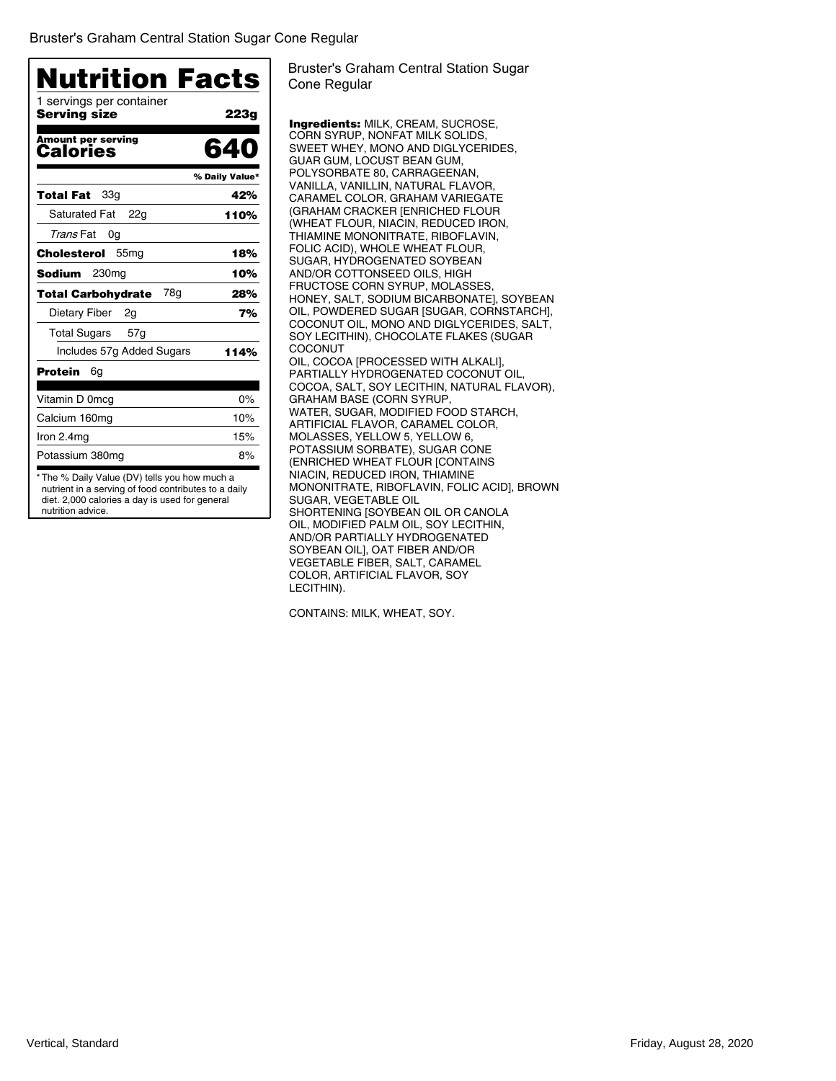| 1 servings per container<br>Servina size | 223g           |
|------------------------------------------|----------------|
|                                          |                |
| Amount per serving<br><b>Calories</b>    | 640            |
|                                          | % Daily Value* |
| 33a<br>Total Fat                         | 42%            |
| <b>Saturated Fat</b><br>22a              | 110%           |
| Trans Fat<br>0g                          |                |
| 55 <sub>mg</sub><br>Cholesterol          | 18%            |
| <b>Sodium</b><br>230 <sub>mg</sub>       | 10%            |
| <b>Total Carbohydrate</b><br>78g         | 28%            |
| Dietary Fiber<br>2g                      | 7%             |
| Total Sugars<br>57g                      |                |
| Includes 57g Added Sugars                | 114%           |
| <b>Protein</b><br>6g                     |                |
| Vitamin D 0mcg                           | $0\%$          |
| Calcium 160mg                            | 10%            |
| Iron 2.4mg                               | 15%            |
| Potassium 380mg                          | 8%             |

Bruster's Graham Central Station Sugar Cone Regular

Ingredients: MILK, CREAM, SUCROSE, CORN SYRUP, NONFAT MILK SOLIDS, SWEET WHEY, MONO AND DIGLYCERIDES, GUAR GUM, LOCUST BEAN GUM, POLYSORBATE 80, CARRAGEENAN, VANILLA, VANILLIN, NATURAL FLAVOR, CARAMEL COLOR, GRAHAM VARIEGATE (GRAHAM CRACKER [ENRICHED FLOUR (WHEAT FLOUR, NIACIN, REDUCED IRON, THIAMINE MONONITRATE, RIBOFLAVIN, FOLIC ACID), WHOLE WHEAT FLOUR, SUGAR, HYDROGENATED SOYBEAN AND/OR COTTONSEED OILS, HIGH FRUCTOSE CORN SYRUP, MOLASSES, HONEY, SALT, SODIUM BICARBONATE], SOYBEAN OIL, POWDERED SUGAR [SUGAR, CORNSTARCH], COCONUT OIL, MONO AND DIGLYCERIDES, SALT, SOY LECITHIN), CHOCOLATE FLAKES (SUGAR COCONUT OIL, COCOA [PROCESSED WITH ALKALI], PARTIALLY HYDROGENATED COCONUT OIL, COCOA, SALT, SOY LECITHIN, NATURAL FLAVOR), GRAHAM BASE (CORN SYRUP, WATER, SUGAR, MODIFIED FOOD STARCH, ARTIFICIAL FLAVOR, CARAMEL COLOR, MOLASSES, YELLOW 5, YELLOW 6, POTASSIUM SORBATE), SUGAR CONE (ENRICHED WHEAT FLOUR [CONTAINS NIACIN, REDUCED IRON, THIAMINE MONONITRATE, RIBOFLAVIN, FOLIC ACID], BROWN SUGAR, VEGETABLE OIL SHORTENING [SOYBEAN OIL OR CANOLA OIL, MODIFIED PALM OIL, SOY LECITHIN, AND/OR PARTIALLY HYDROGENATED SOYBEAN OIL], OAT FIBER AND/OR VEGETABLE FIBER, SALT, CARAMEL COLOR, ARTIFICIAL FLAVOR, SOY LECITHIN).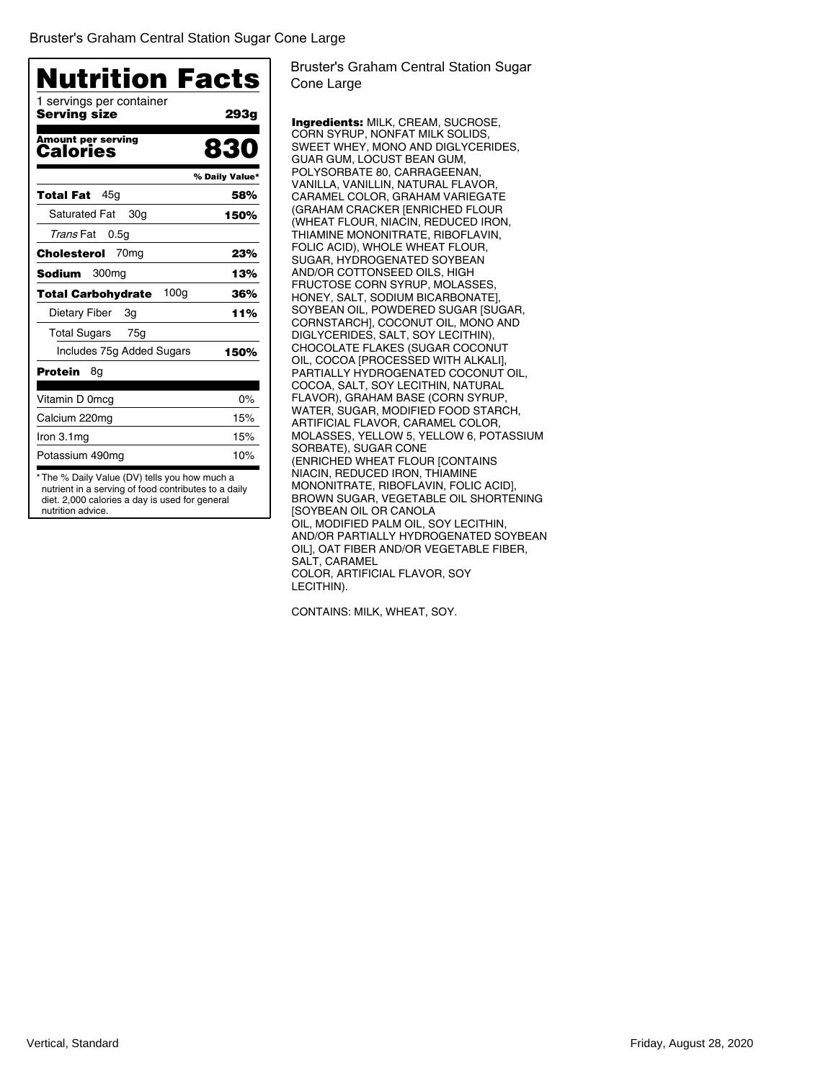| <b>Nutrition Facts</b>                        |                |
|-----------------------------------------------|----------------|
| 1 servings per container<br>Serving size      | 293g           |
| <b>Amount per serving</b><br>Calories         | 830            |
|                                               | % Daily Value* |
| 45a<br>Total Fat                              | 58%            |
| <b>Saturated Fat</b><br>30g                   | 150%           |
| Trans Fat<br>0.5g                             |                |
| 70 <sub>mq</sub><br>Cholesterol               | 23%            |
| 300 <sub>mg</sub><br><b>Sodium</b>            | 13%            |
| 100 <sub>q</sub><br><b>Total Carbohydrate</b> | 36%            |
| Dietary Fiber<br>3g                           | 11%            |
| <b>Total Sugars</b><br>75q                    |                |
| Includes 75g Added Sugars                     | 150%           |
| Protein<br>8g                                 |                |
| Vitamin D 0mcg                                | 0%             |
| Calcium 220mg                                 | 15%            |
| Iron $3.1mg$                                  | 15%            |
| Potassium 490mg                               | 10%            |

diet. 2,000 calories a day is used for general nutrition advice.

Bruster's Graham Central Station Sugar Cone Large

Ingredients: MILK, CREAM, SUCROSE, CORN SYRUP, NONFAT MILK SOLIDS, SWEET WHEY, MONO AND DIGLYCERIDES, GUAR GUM, LOCUST BEAN GUM, POLYSORBATE 80, CARRAGEENAN, VANILLA, VANILLIN, NATURAL FLAVOR, CARAMEL COLOR, GRAHAM VARIEGATE (GRAHAM CRACKER [ENRICHED FLOUR (WHEAT FLOUR, NIACIN, REDUCED IRON, THIAMINE MONONITRATE, RIBOFLAVIN, FOLIC ACID), WHOLE WHEAT FLOUR, SUGAR, HYDROGENATED SOYBEAN AND/OR COTTONSEED OILS, HIGH FRUCTOSE CORN SYRUP, MOLASSES, HONEY, SALT, SODIUM BICARBONATE], SOYBEAN OIL, POWDERED SUGAR [SUGAR, CORNSTARCH], COCONUT OIL, MONO AND DIGLYCERIDES, SALT, SOY LECITHIN), CHOCOLATE FLAKES (SUGAR COCONUT OIL, COCOA [PROCESSED WITH ALKALI], PARTIALLY HYDROGENATED COCONUT OIL, COCOA, SALT, SOY LECITHIN, NATURAL FLAVOR), GRAHAM BASE (CORN SYRUP, WATER, SUGAR, MODIFIED FOOD STARCH, ARTIFICIAL FLAVOR, CARAMEL COLOR, MOLASSES, YELLOW 5, YELLOW 6, POTASSIUM SORBATE), SUGAR CONE (ENRICHED WHEAT FLOUR [CONTAINS NIACIN, REDUCED IRON, THIAMINE MONONITRATE, RIBOFLAVIN, FOLIC ACID], BROWN SUGAR, VEGETABLE OIL SHORTENING [SOYBEAN OIL OR CANOLA OIL, MODIFIED PALM OIL, SOY LECITHIN, AND/OR PARTIALLY HYDROGENATED SOYBEAN OIL], OAT FIBER AND/OR VEGETABLE FIBER, SALT, CARAMEL COLOR, ARTIFICIAL FLAVOR, SOY LECITHIN).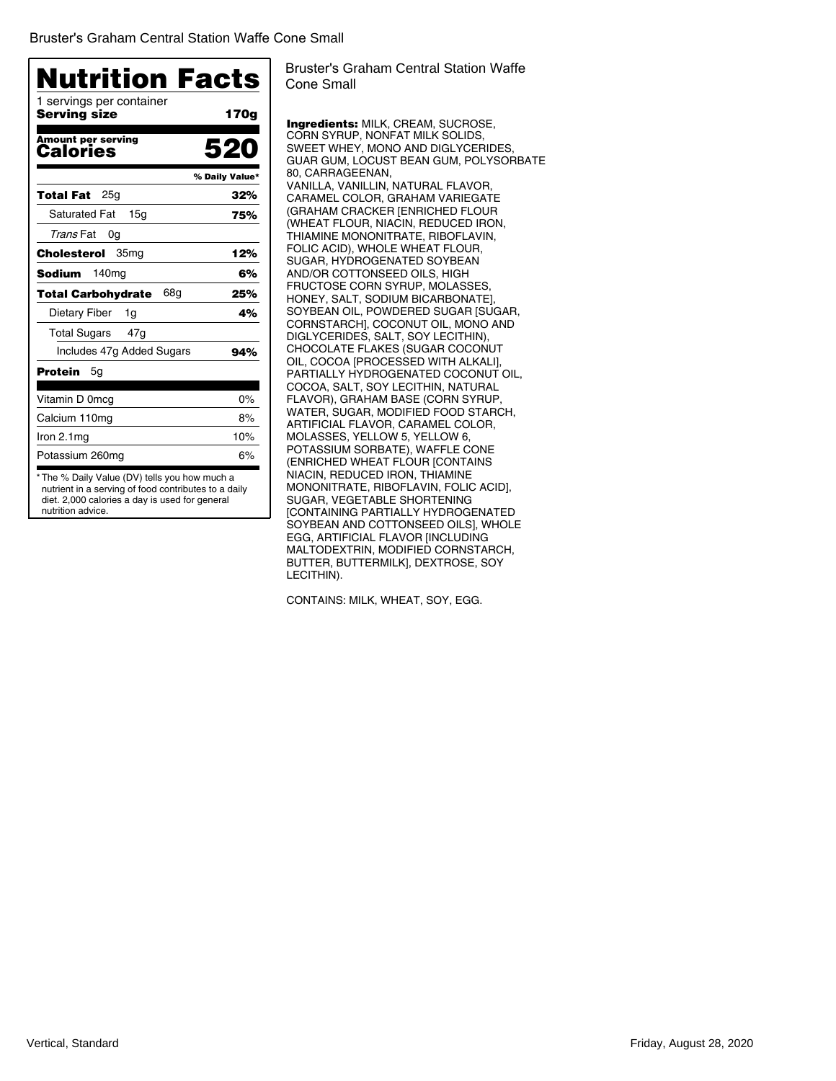| <b>Nutrition Facts</b>                   |                |
|------------------------------------------|----------------|
| 1 servings per container<br>Serving size | 170g           |
| <b>Amount per serving</b><br>Calories    | 520            |
|                                          | % Daily Value* |
| 25a<br>Total Fat                         | 32%            |
| <b>Saturated Fat</b><br>15 <sub>q</sub>  | 75%            |
| Trans Fat<br>0g                          |                |
| Cholesterol<br>35mg                      | 12%            |
| 140 <sub>mg</sub><br>Sodium              | 6%             |
| 68g<br><b>Total Carbohydrate</b>         | 25%            |
| Dietary Fiber<br>1g                      | 4%             |
| <b>Total Sugars</b><br>47g               |                |
| Includes 47g Added Sugars                | 94%            |
| Protein<br>5g                            |                |
| Vitamin D 0mcg                           | $0\%$          |
| Calcium 110mg                            | 8%             |
| Iron $2.1mg$                             | 10%            |
| Potassium 260mg                          | 6%             |

Bruster's Graham Central Station Waffe Cone Small

Ingredients: MILK, CREAM, SUCROSE, CORN SYRUP, NONFAT MILK SOLIDS, SWEET WHEY, MONO AND DIGLYCERIDES, GUAR GUM, LOCUST BEAN GUM, POLYSORBATE 80, CARRAGEENAN, VANILLA, VANILLIN, NATURAL FLAVOR, CARAMEL COLOR, GRAHAM VARIEGATE (GRAHAM CRACKER [ENRICHED FLOUR (WHEAT FLOUR, NIACIN, REDUCED IRON, THIAMINE MONONITRATE, RIBOFLAVIN, FOLIC ACID), WHOLE WHEAT FLOUR, SUGAR, HYDROGENATED SOYBEAN AND/OR COTTONSEED OILS, HIGH FRUCTOSE CORN SYRUP, MOLASSES, HONEY, SALT, SODIUM BICARBONATE], SOYBEAN OIL, POWDERED SUGAR [SUGAR, CORNSTARCH], COCONUT OIL, MONO AND DIGLYCERIDES, SALT, SOY LECITHIN), CHOCOLATE FLAKES (SUGAR COCONUT OIL, COCOA [PROCESSED WITH ALKALI], PARTIALLY HYDROGENATED COCONUT OIL, COCOA, SALT, SOY LECITHIN, NATURAL FLAVOR), GRAHAM BASE (CORN SYRUP, WATER, SUGAR, MODIFIED FOOD STARCH, ARTIFICIAL FLAVOR, CARAMEL COLOR, MOLASSES, YELLOW 5, YELLOW 6, POTASSIUM SORBATE), WAFFLE CONE (ENRICHED WHEAT FLOUR [CONTAINS NIACIN, REDUCED IRON, THIAMINE MONONITRATE, RIBOFLAVIN, FOLIC ACID], SUGAR, VEGETABLE SHORTENING [CONTAINING PARTIALLY HYDROGENATED SOYBEAN AND COTTONSEED OILS], WHOLE EGG, ARTIFICIAL FLAVOR [INCLUDING MALTODEXTRIN, MODIFIED CORNSTARCH, BUTTER, BUTTERMILK], DEXTROSE, SOY LECITHIN).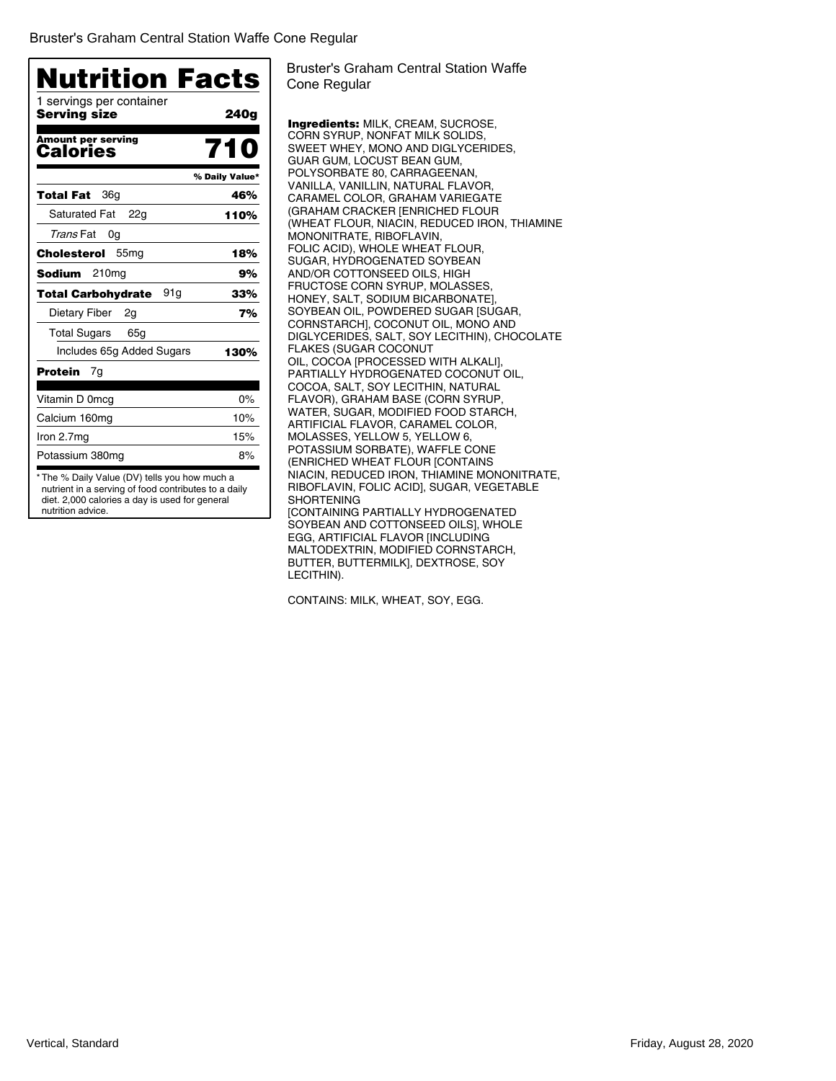| <b>Nutrition Facts</b><br>1 servings per container |                |
|----------------------------------------------------|----------------|
| Serving size                                       | 240g           |
| <b>Amount per serving</b><br>Calories              | 710            |
|                                                    | % Daily Value* |
| 36g<br>Total Fat                                   | 46%            |
| <b>Saturated Fat</b><br>22g                        | 110%           |
| Trans Fat<br>0g                                    |                |
| Cholesterol<br>55 <sub>mg</sub>                    | 18%            |
| 210 <sub>mg</sub><br>Sodium                        | 9%             |
| 91a<br>Total Carbohydrate                          | 33%            |
| Dietary Fiber<br>2g                                | 7%             |
| Total Sugars<br>65g                                |                |
| Includes 65g Added Sugars                          | 130%           |
| Protein<br>7g                                      |                |
| Vitamin D 0mcg                                     | $0\%$          |
| Calcium 160mg                                      | 10%            |
| Iron 2.7mg                                         | 15%            |
| Potassium 380mg                                    | 8%             |

Bruster's Graham Central Station Waffe Cone Regular

Ingredients: MILK, CREAM, SUCROSE, CORN SYRUP, NONFAT MILK SOLIDS, SWEET WHEY, MONO AND DIGLYCERIDES, GUAR GUM, LOCUST BEAN GUM, POLYSORBATE 80, CARRAGEENAN, VANILLA, VANILLIN, NATURAL FLAVOR, CARAMEL COLOR, GRAHAM VARIEGATE (GRAHAM CRACKER [ENRICHED FLOUR (WHEAT FLOUR, NIACIN, REDUCED IRON, THIAMINE MONONITRATE, RIBOFLAVIN, FOLIC ACID), WHOLE WHEAT FLOUR, SUGAR, HYDROGENATED SOYBEAN AND/OR COTTONSEED OILS, HIGH FRUCTOSE CORN SYRUP, MOLASSES, HONEY, SALT, SODIUM BICARBONATE], SOYBEAN OIL, POWDERED SUGAR [SUGAR, CORNSTARCH], COCONUT OIL, MONO AND DIGLYCERIDES, SALT, SOY LECITHIN), CHOCOLATE FLAKES (SUGAR COCONUT OIL, COCOA [PROCESSED WITH ALKALI], PARTIALLY HYDROGENATED COCONUT OIL, COCOA, SALT, SOY LECITHIN, NATURAL FLAVOR), GRAHAM BASE (CORN SYRUP, WATER, SUGAR, MODIFIED FOOD STARCH, ARTIFICIAL FLAVOR, CARAMEL COLOR, MOLASSES, YELLOW 5, YELLOW 6, POTASSIUM SORBATE), WAFFLE CONE (ENRICHED WHEAT FLOUR [CONTAINS NIACIN, REDUCED IRON, THIAMINE MONONITRATE, RIBOFLAVIN, FOLIC ACID], SUGAR, VEGETABLE SHORTENING [CONTAINING PARTIALLY HYDROGENATED SOYBEAN AND COTTONSEED OILS], WHOLE EGG, ARTIFICIAL FLAVOR [INCLUDING MALTODEXTRIN, MODIFIED CORNSTARCH, BUTTER, BUTTERMILK], DEXTROSE, SOY LECITHIN).